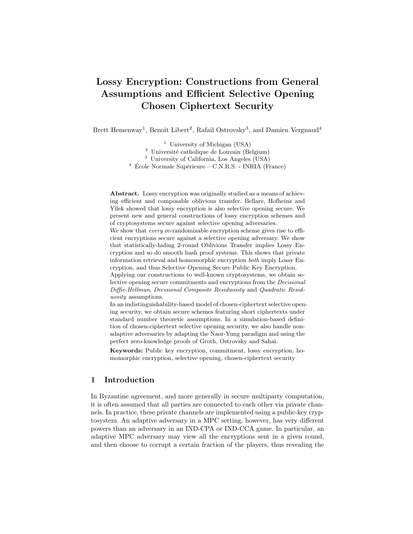# Lossy Encryption: Constructions from General Assumptions and Efficient Selective Opening Chosen Ciphertext Security

Brett Hemenway<sup>1</sup>, Benoît Libert<sup>2</sup>, Rafail Ostrovsky<sup>3</sup>, and Damien Vergnaud<sup>4</sup>

<sup>1</sup> University of Michigan (USA)

 $2$  Université catholique de Louvain (Belgium)

<sup>3</sup> University of California, Los Angeles (USA)

 $4 \text{ École Normale Supérieure} - \text{C.N.R.S.} - \text{INRIA (France)}$ 

Abstract. Lossy encryption was originally studied as a means of achieving efficient and composable oblivious transfer. Bellare, Hofheinz and Yilek showed that lossy encryption is also selective opening secure. We present new and general constructions of lossy encryption schemes and of cryptosystems secure against selective opening adversaries.

We show that *every* re-randomizable encryption scheme gives rise to efficient encryptions secure against a selective opening adversary. We show that statistically-hiding 2-round Oblivious Transfer implies Lossy Encryption and so do smooth hash proof systems. This shows that private information retrieval and homomorphic encryption both imply Lossy Encryption, and thus Selective Opening Secure Public Key Encryption.

Applying our constructions to well-known cryptosystems, we obtain selective opening secure commitments and encryptions from the Decisional Diffie-Hellman, Decisional Composite Residuosity and Quadratic Residuosity assumptions.

In an indistinguishability-based model of chosen-ciphertext selective opening security, we obtain secure schemes featuring short ciphertexts under standard number theoretic assumptions. In a simulation-based definition of chosen-ciphertext selective opening security, we also handle nonadaptive adversaries by adapting the Naor-Yung paradigm and using the perfect zero-knowledge proofs of Groth, Ostrovsky and Sahai.

Keywords: Public key encryption, commitment, lossy encryption, homomorphic encryption, selective opening, chosen-ciphertext security

# 1 Introduction

In Byzantine agreement, and more generally in secure multiparty computation, it is often assumed that all parties are connected to each other via private channels. In practice, these private channels are implemented using a public-key cryptosystem. An adaptive adversary in a MPC setting, however, has very different powers than an adversary in an IND-CPA or IND-CCA game. In particular, an adaptive MPC adversary may view all the encryptions sent in a given round, and then choose to corrupt a certain fraction of the players, thus revealing the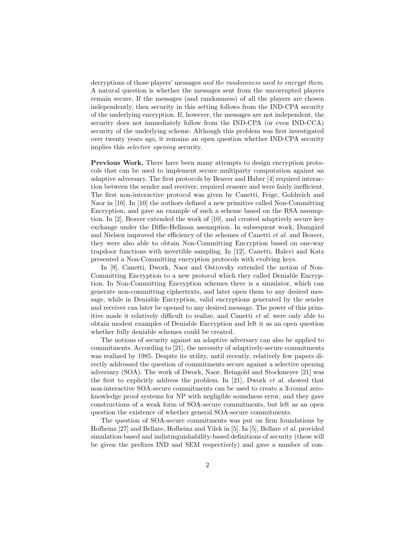decryptions of those players' messages and the randomness used to encrypt them. A natural question is whether the messages sent from the uncorrupted players remain secure. If the messages (and randomness) of all the players are chosen independently, then security in this setting follows from the IND-CPA security of the underlying encryption. If, however, the messages are not independent, the security does not immediately follow from the IND-CPA (or even IND-CCA) security of the underlying scheme. Although this problem was first investigated over twenty years ago, it remains an open question whether IND-CPA security implies this selective opening security.

Previous Work. There have been many attempts to design encryption protocols that can be used to implement secure multiparty computation against an adaptive adversary. The first protocols by Beaver and Haber [4] required interaction between the sender and receiver, required erasure and were fairly inefficient. The first non-interactive protocol was given by Canetti, Feige, Goldreich and Naor in [10]. In [10] the authors defined a new primitive called Non-Committing Encryption, and gave an example of such a scheme based on the RSA assumption. In [2], Beaver extended the work of [10], and created adaptively secure key exchange under the Diffie-Hellman assumption. In subsequent work, Damgård and Nielsen improved the efficiency of the schemes of Canetti *et al.* and Beaver, they were also able to obtain Non-Committing Encryption based on one-way trapdoor functions with invertible sampling. In [12], Canetti, Halevi and Katz presented a Non-Committing encryption protocols with evolving keys.

In [9], Canetti, Dwork, Naor and Ostrovsky extended the notion of Non-Committing Encryption to a new protocol which they called Deniable Encryption. In Non-Committing Encryption schemes there is a simulator, which can generate non-committing ciphertexts, and later open them to any desired message, while in Deniable Encryption, valid encryptions generated by the sender and receiver can later be opened to any desired message. The power of this primitive made it relatively difficult to realize, and Canetti et al. were only able to obtain modest examples of Deniable Encryption and left it as an open question whether fully deniable schemes could be created.

The notions of security against an adaptive adversary can also be applied to commitments. According to [21], the necessity of adaptively-secure commitments was realized by 1985. Despite its utility, until recently, relatively few papers directly addressed the question of commitments secure against a selective opening adversary (SOA). The work of Dwork, Naor, Reingold and Stockmeyer [21] was the first to explicitly address the problem. In [21], Dwork et al. showed that non-interactive SOA-secure commitments can be used to create a 3-round zeroknowledge proof systems for NP with negligible soundness error, and they gave constructions of a weak form of SOA-secure commitments, but left as an open question the existence of whether general SOA-secure commitments.

The question of SOA-secure commitments was put on firm foundations by Hofheinz [27] and Bellare, Hofheinz and Yilek in [5]. In [5], Bellare et al. provided simulation-based and indistinguishability-based definitions of security (these will be given the prefixes IND and SEM respectively) and gave a number of con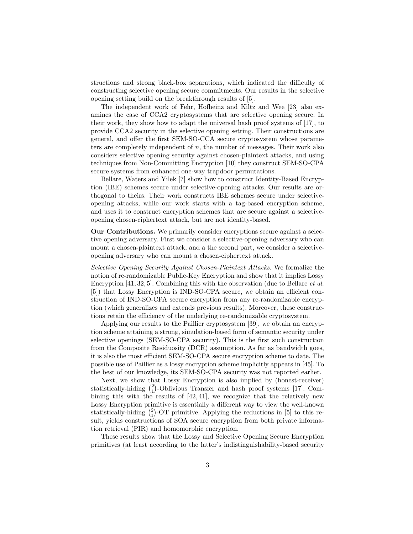structions and strong black-box separations, which indicated the difficulty of constructing selective opening secure commitments. Our results in the selective opening setting build on the breakthrough results of [5].

The independent work of Fehr, Hofheinz and Kiltz and Wee [23] also examines the case of CCA2 cryptosystems that are selective opening secure. In their work, they show how to adapt the universal hash proof systems of [17], to provide CCA2 security in the selective opening setting. Their constructions are general, and offer the first SEM-SO-CCA secure cryptosystem whose parameters are completely independent of  $n$ , the number of messages. Their work also considers selective opening security against chosen-plaintext attacks, and using techniques from Non-Committing Encryption [10] they construct SEM-SO-CPA secure systems from enhanced one-way trapdoor permutations.

Bellare, Waters and Yilek [7] show how to construct Identity-Based Encryption (IBE) schemes secure under selective-opening attacks. Our results are orthogonal to theirs. Their work constructs IBE schemes secure under selectiveopening attacks, while our work starts with a tag-based encryption scheme, and uses it to construct encryption schemes that are secure against a selectiveopening chosen-ciphertext attack, but are not identity-based.

Our Contributions. We primarily consider encryptions secure against a selective opening adversary. First we consider a selective-opening adversary who can mount a chosen-plaintext attack, and a the second part, we consider a selectiveopening adversary who can mount a chosen-ciphertext attack.

Selective Opening Security Against Chosen-Plaintext Attacks. We formalize the notion of re-randomizable Public-Key Encryption and show that it implies Lossy Encryption [41, 32, 5]. Combining this with the observation (due to Bellare *et al.* [5]) that Lossy Encryption is IND-SO-CPA secure, we obtain an efficient construction of IND-SO-CPA secure encryption from any re-randomizable encryption (which generalizes and extends previous results). Moreover, these constructions retain the efficiency of the underlying re-randomizable cryptosystem.

Applying our results to the Paillier cryptosystem [39], we obtain an encryption scheme attaining a strong, simulation-based form of semantic security under selective openings (SEM-SO-CPA security). This is the first such construction from the Composite Residuosity (DCR) assumption. As far as bandwidth goes, it is also the most efficient SEM-SO-CPA secure encryption scheme to date. The possible use of Paillier as a lossy encryption scheme implicitly appears in [45]. To the best of our knowledge, its SEM-SO-CPA security was not reported earlier.

Next, we show that Lossy Encryption is also implied by (honest-receiver) statistically-hiding  $\binom{2}{1}$ -Oblivious Transfer and hash proof systems [17]. Combining this with the results of  $[42, 41]$ , we recognize that the relatively new Lossy Encryption primitive is essentially a different way to view the well-known statistically-hiding  $\binom{2}{1}$ -OT primitive. Applying the reductions in [5] to this result, yields constructions of SOA secure encryption from both private information retrieval (PIR) and homomorphic encryption.

These results show that the Lossy and Selective Opening Secure Encryption primitives (at least according to the latter's indistinguishability-based security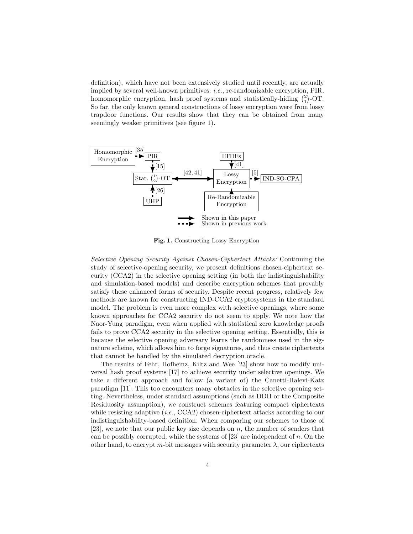definition), which have not been extensively studied until recently, are actually implied by several well-known primitives: *i.e.*, re-randomizable encryption,  $PIR$ , homomorphic encryption, hash proof systems and statistically-hiding  $\binom{2}{1}$ -OT. So far, the only known general constructions of lossy encryption were from lossy trapdoor functions. Our results show that they can be obtained from many seemingly weaker primitives (see figure 1).



Fig. 1. Constructing Lossy Encryption

Selective Opening Security Against Chosen-Ciphertext Attacks: Continuing the study of selective-opening security, we present definitions chosen-ciphertext security (CCA2) in the selective opening setting (in both the indistinguishability and simulation-based models) and describe encryption schemes that provably satisfy these enhanced forms of security. Despite recent progress, relatively few methods are known for constructing IND-CCA2 cryptosystems in the standard model. The problem is even more complex with selective openings, where some known approaches for CCA2 security do not seem to apply. We note how the Naor-Yung paradigm, even when applied with statistical zero knowledge proofs fails to prove CCA2 security in the selective opening setting. Essentially, this is because the selective opening adversary learns the randomness used in the signature scheme, which allows him to forge signatures, and thus create ciphertexts that cannot be handled by the simulated decryption oracle.

The results of Fehr, Hofheinz, Kiltz and Wee [23] show how to modify universal hash proof systems [17] to achieve security under selective openings. We take a different approach and follow (a variant of) the Canetti-Halevi-Katz paradigm [11]. This too encounters many obstacles in the selective opening setting. Nevertheless, under standard assumptions (such as DDH or the Composite Residuosity assumption), we construct schemes featuring compact ciphertexts while resisting adaptive (*i.e.*,  $CCA2$ ) chosen-ciphertext attacks according to our indistinguishability-based definition. When comparing our schemes to those of [23], we note that our public key size depends on n, the number of senders that can be possibly corrupted, while the systems of  $[23]$  are independent of n. On the other hand, to encrypt m-bit messages with security parameter  $\lambda$ , our ciphertexts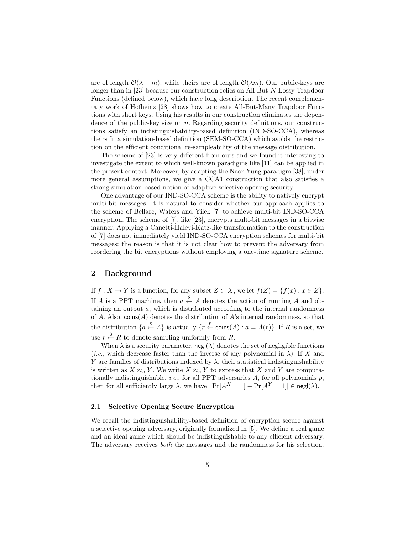are of length  $\mathcal{O}(\lambda + m)$ , while theirs are of length  $\mathcal{O}(\lambda m)$ . Our public-keys are longer than in [23] because our construction relies on All-But-N Lossy Trapdoor Functions (defined below), which have long description. The recent complementary work of Hofheinz [28] shows how to create All-But-Many Trapdoor Functions with short keys. Using his results in our construction eliminates the dependence of the public-key size on  $n$ . Regarding security definitions, our constructions satisfy an indistinguishability-based definition (IND-SO-CCA), whereas theirs fit a simulation-based definition (SEM-SO-CCA) which avoids the restriction on the efficient conditional re-sampleability of the message distribution.

The scheme of [23] is very different from ours and we found it interesting to investigate the extent to which well-known paradigms like [11] can be applied in the present context. Moreover, by adapting the Naor-Yung paradigm [38], under more general assumptions, we give a CCA1 construction that also satisfies a strong simulation-based notion of adaptive selective opening security.

One advantage of our IND-SO-CCA scheme is the ability to natively encrypt multi-bit messages. It is natural to consider whether our approach applies to the scheme of Bellare, Waters and Yilek [7] to achieve multi-bit IND-SO-CCA encryption. The scheme of [7], like [23], encrypts multi-bit messages in a bitwise manner. Applying a Canetti-Halevi-Katz-like transformation to the construction of [7] does not immediately yield IND-SO-CCA encryption schemes for multi-bit messages: the reason is that it is not clear how to prevent the adversary from reordering the bit encryptions without employing a one-time signature scheme.

## 2 Background

If  $f: X \to Y$  is a function, for any subset  $Z \subset X$ , we let  $f(Z) = \{f(x) : x \in Z\}$ . If A is a PPT machine, then  $a \stackrel{\$}{\leftarrow} A$  denotes the action of running A and obtaining an output  $a$ , which is distributed according to the internal randomness of A. Also,  $\text{coins}(A)$  denotes the distribution of A's internal randomness, so that the distribution  $\{a \stackrel{\$}{\leftarrow} A\}$  is actually  $\{r \stackrel{\$}{\leftarrow} \text{ coins}(A) : a = A(r)\}\$ . If R is a set, we use  $r \stackrel{\$}{\leftarrow} R$  to denote sampling uniformly from R.

When  $\lambda$  is a security parameter, negl( $\lambda$ ) denotes the set of negligible functions (*i.e.*, which decrease faster than the inverse of any polynomial in  $\lambda$ ). If X and Y are families of distributions indexed by  $\lambda$ , their statistical indistinguishability is written as  $X \approx_s Y$ . We write  $X \approx_c Y$  to express that X and Y are computationally indistinguishable, *i.e.*, for all PPT adversaries  $A$ , for all polynomials  $p$ , then for all sufficiently large  $\lambda$ , we have  $|\Pr[A^X = 1] - \Pr[A^Y = 1]| \in \mathsf{negl}(\lambda)$ .

### 2.1 Selective Opening Secure Encryption

We recall the indistinguishability-based definition of encryption secure against a selective opening adversary, originally formalized in [5]. We define a real game and an ideal game which should be indistinguishable to any efficient adversary. The adversary receives both the messages and the randomness for his selection.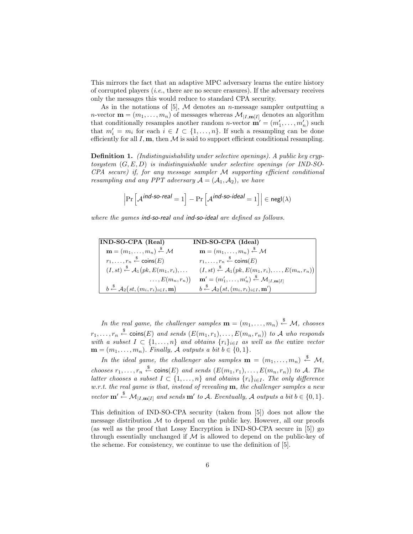This mirrors the fact that an adaptive MPC adversary learns the entire history of corrupted players (i.e., there are no secure erasures). If the adversary receives only the messages this would reduce to standard CPA security.

As in the notations of  $[5]$ , M denotes an *n*-message sampler outputting a *n*-vector  $\mathbf{m} = (m_1, \ldots, m_n)$  of messages whereas  $\mathcal{M}_{[I,m[I]}$  denotes an algorithm that conditionally resamples another random *n*-vector  $\mathbf{m}' = (m'_1, \ldots, m'_n)$  such that  $m'_i = m_i$  for each  $i \in I \subset \{1, ..., n\}$ . If such a resampling can be done efficiently for all I,  $\mathbf m$ , then M is said to support efficient conditional resampling.

Definition 1. (Indistinguishability under selective openings). A public key crypto system  $(G, E, D)$  is indistinguishable under selective openings (or IND-SO- $CPA$  secure) if, for any message sampler  $\mathcal M$  supporting efficient conditional resampling and any PPT adversary  $A = (A_1, A_2)$ , we have

$$
\left|\Pr\left[\mathcal{A}^{\textit{ind-so-real}}=1\right]-\Pr\left[\mathcal{A}^{\textit{ind-so-ideal}}=1\right]\right|\in {\mathsf{negl}}(\lambda)
$$

where the games ind-so-real and ind-so-ideal are defined as follows.

| IND-SO-CPA (Real)                                                                  | IND-SO-CPA (Ideal)                                                                             |
|------------------------------------------------------------------------------------|------------------------------------------------------------------------------------------------|
| $\mathbf{m} = (m_1, \ldots, m_n) \stackrel{\$}{\leftarrow} \mathcal{M}$            | $\mathbf{m} = (m_1, \ldots, m_n) \stackrel{\$}{\leftarrow} \mathcal{M}$                        |
| $r_1, \ldots, r_n \stackrel{\$}{\leftarrow} \mathsf{coins}(E)$                     | $r_1, \ldots, r_n \stackrel{\$}{\leftarrow} \text{coins}(E)$                                   |
| $(I, st) \stackrel{\$}{\leftarrow} \mathcal{A}_1(pk, E(m_1, r_i), \dots)$          | $(I, st) \stackrel{\$}{\leftarrow} A_1(pk, E(m_1, r_i), \ldots, E(m_n, r_n))$                  |
| $\ldots, E(m_n,r_n))$                                                              | $\mathbf{m}' = (m'_1, \ldots, m'_n) \stackrel{\$}{\leftarrow} \mathcal{M}_{ I, \mathbf{m}[I]}$ |
| $b \stackrel{\$}{\leftarrow} \mathcal{A}_2(s t, (m_i, r_i)_{i \in I}, \mathbf{m})$ | $b \stackrel{\$}{\leftarrow} \mathcal{A}_2(s t, (m_i, r_i)_{i \in I}, \mathbf{m}')$            |

In the real game, the challenger samples  $\mathbf{m} = (m_1, \ldots, m_n) \stackrel{\$}{\leftarrow} \mathcal{M}$ , chooses  $r_1, \ldots, r_n \stackrel{\$}{\leftarrow} \mathsf{coins}(E)$  and sends  $(E(m_1, r_1), \ldots, E(m_n, r_n))$  to A who responds with a subset  $I \subset \{1, \ldots, n\}$  and obtains  $\{r_i\}_{i \in I}$  as well as the entire vector  $\mathbf{m} = (m_1, \ldots, m_n)$ . Finally, A outputs a bit  $b \in \{0, 1\}$ .

In the ideal game, the challenger also samples  $\mathbf{m} = (m_1, \ldots, m_n) \stackrel{\$}{\leftarrow} \mathcal{M},$ chooses  $r_1, \ldots, r_n \stackrel{\$}{\leftarrow} \text{coins}(E)$  and sends  $(E(m_1, r_1), \ldots, E(m_n, r_n))$  to A. The latter chooses a subset  $I \subset \{1, \ldots, n\}$  and obtains  $\{r_i\}_{i \in I}$ . The only difference w.r.t. the real game is that, instead of revealing  $m$ , the challenger samples a new vector  $\mathbf{m}' \stackrel{\$}{\leftarrow} \mathcal{M}_{[I,\mathbf{m}[I]}$  and sends  $\mathbf{m}'$  to A. Eventually, A outputs a bit  $b \in \{0,1\}$ .

This definition of IND-SO-CPA security (taken from [5]) does not allow the message distribution  $M$  to depend on the public key. However, all our proofs (as well as the proof that Lossy Encryption is IND-SO-CPA secure in [5]) go through essentially unchanged if  $M$  is allowed to depend on the public-key of the scheme. For consistency, we continue to use the definition of [5].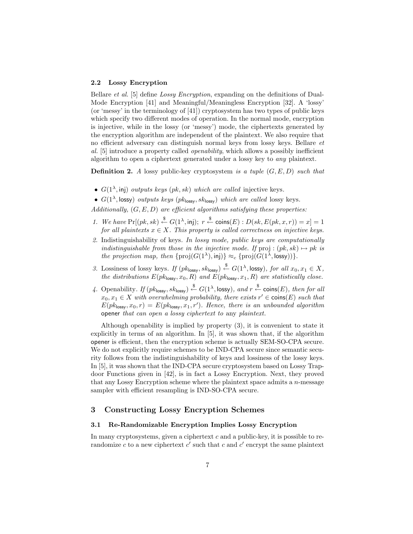#### 2.2 Lossy Encryption

Bellare *et al.* [5] define *Lossy Encryption*, expanding on the definitions of Dual-Mode Encryption [41] and Meaningful/Meaningless Encryption [32]. A 'lossy' (or 'messy' in the terminology of [41]) cryptosystem has two types of public keys which specify two different modes of operation. In the normal mode, encryption is injective, while in the lossy (or 'messy') mode, the ciphertexts generated by the encryption algorithm are independent of the plaintext. We also require that no efficient adversary can distinguish normal keys from lossy keys. Bellare et al. [5] introduce a property called openability, which allows a possibly inefficient algorithm to open a ciphertext generated under a lossy key to any plaintext.

**Definition 2.** A lossy public-key cryptosystem is a tuple  $(G, E, D)$  such that

- $G(1<sup>\lambda</sup>, inj)$  outputs keys (pk, sk) which are called injective keys.
- $G(1<sup>\lambda</sup>, lossy)$  outputs keys  $(pk_{lossy}, sk_{lossy})$  which are called lossy keys.

Additionally,  $(G, E, D)$  are efficient algorithms satisfying these properties:

- 1. We have  $Pr[(pk, sk) \stackrel{\$}{\leftarrow} G(1^{\lambda}, inj); r \stackrel{\$}{\leftarrow} \text{coins}(E) : D(sk, E(pk, x, r)) = x] = 1$ for all plaintexts  $x \in X$ . This property is called correctness on injective keys.
- 2. Indistinguishability of keys. In lossy mode, public keys are computationally indistinguishable from those in the injective mode. If  $proj : (pk, sk) \mapsto pk$  is the projection map, then  $\{proj(G(1^{\lambda}), inj)\} \approx_c \{proj(G(1^{\lambda}, loss))\}.$
- 3. Lossiness of lossy keys. If  $(pk_{\text{lossy}}, sk_{\text{lossy}}) \overset{\$}{\leftarrow} G(1^{\lambda}, \text{lossy})$ , for all  $x_0, x_1 \in X$ , the distributions  $E(pk_{\text{lossy}}, x_0, R)$  and  $E(pk_{\text{lossy}}, x_1, R)$  are statistically close.
- 4. Openability. If  $(pk_{\text{lossy}}, sk_{\text{lossy}}) \overset{\$}{\leftarrow} G(1^{\lambda}, \text{lossy})$ , and  $r \overset{\$}{\leftarrow} \text{ coins}(E)$ , then for all  $x_0, x_1 \in X$  with overwhelming probability, there exists  $r' \in \text{cons}(E)$  such that  $E(pk_{\text{lossy}}, x_0, r) = E(pk_{\text{lossy}}, x_1, r')$ . Hence, there is an unbounded algorithm opener that can open a lossy ciphertext to any plaintext.

Although openability is implied by property (3), it is convenient to state it explicitly in terms of an algorithm. In [5], it was shown that, if the algorithm opener is efficient, then the encryption scheme is actually SEM-SO-CPA secure. We do not explicitly require schemes to be IND-CPA secure since semantic security follows from the indistinguishability of keys and lossiness of the lossy keys. In [5], it was shown that the IND-CPA secure cryptosystem based on Lossy Trapdoor Functions given in [42], is in fact a Lossy Encryption. Next, they proved that any Lossy Encryption scheme where the plaintext space admits a  $n$ -message sampler with efficient resampling is IND-SO-CPA secure.

# 3 Constructing Lossy Encryption Schemes

## 3.1 Re-Randomizable Encryption Implies Lossy Encryption

In many cryptosystems, given a ciphertext  $c$  and a public-key, it is possible to rerandomize c to a new ciphertext  $c'$  such that c and  $c'$  encrypt the same plaintext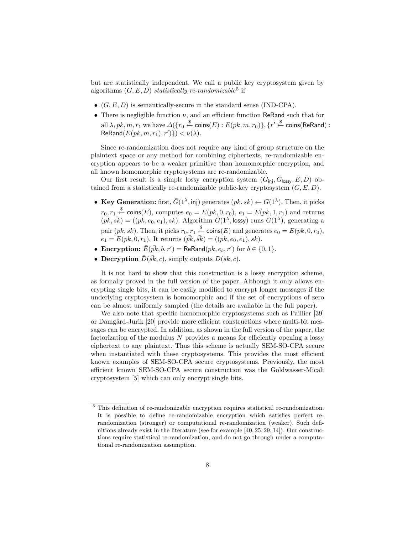but are statistically independent. We call a public key cryptosystem given by algorithms  $(G, E, D)$  statistically re-randomizable<sup>5</sup> if

- $(G, E, D)$  is semantically-secure in the standard sense (IND-CPA).
- There is negligible function  $\nu$ , and an efficient function ReRand such that for all  $\lambda, pk, m, r_1$  we have  $\varDelta(\{r_0 \stackrel{\$}{\leftarrow}\textsf{coints}(E) : E(pk, m, r_0)\}, \{r' \stackrel{\$}{\leftarrow}\textsf{coints}(\textsf{ReRand}) :$  $\mathsf{ReRand}(E(pk, m, r_1), r')\}) < \nu(\lambda).$

Since re-randomization does not require any kind of group structure on the plaintext space or any method for combining ciphertexts, re-randomizable encryption appears to be a weaker primitive than homomorphic encryption, and all known homomorphic cryptosystems are re-randomizable.

Our first result is a simple lossy encryption system  $(\bar{G}_{\text{inj}}, \bar{G}_{\text{lossy}}, \bar{E}, \bar{D})$  obtained from a statistically re-randomizable public-key cryptosystem  $(G, E, D)$ .

- Key Generation: first,  $\bar{G}(1^{\lambda}, \text{inj})$  generates  $(pk, sk) \leftarrow G(1^{\lambda})$ . Then, it picks  $r_0, r_1 \stackrel{\$}{\leftarrow} \textsf{coins}(E)$ , computes  $e_0 = E(pk, 0, r_0)$ ,  $e_1 = E(pk, 1, r_1)$  and returns  $(\overline{pk}, \overline{sk}) = ((pk, e_0, e_1), sk)$ . Algorithm  $\overline{G}(1^{\lambda}, \text{lossy})$  runs  $G(1^{\lambda}),$  generating a pair  $(pk, sk)$ . Then, it picks  $r_0, r_1 \stackrel{\$}{\leftarrow} \text{ coins}(E)$  and generates  $e_0 = E(pk, 0, r_0)$ ,  $e_1 = E(pk, 0, r_1)$ . It returns  $(p\bar{k}, s\bar{k}) = ((pk, e_0, e_1), sk)$ .
- Encryption:  $\bar{E}(\bar{pk}, b, r') = \mathsf{ReRand}(pk, e_b, r')$  for  $b \in \{0, 1\}.$
- Decryption  $\bar{D}(\bar{s}k, c)$ , simply outputs  $D(sk, c)$ .

It is not hard to show that this construction is a lossy encryption scheme, as formally proved in the full version of the paper. Although it only allows encrypting single bits, it can be easily modified to encrypt longer messages if the underlying cryptosystem is homomorphic and if the set of encryptions of zero can be almost uniformly sampled (the details are available in the full paper).

We also note that specific homomorphic cryptosystems such as Paillier [39] or Damgård-Jurik [20] provide more efficient constructions where multi-bit messages can be encrypted. In addition, as shown in the full version of the paper, the factorization of the modulus N provides a means for efficiently opening a lossy ciphertext to any plaintext. Thus this scheme is actually SEM-SO-CPA secure when instantiated with these cryptosystems. This provides the most efficient known examples of SEM-SO-CPA secure cryptosystems. Previously, the most efficient known SEM-SO-CPA secure construction was the Goldwasser-Micali cryptosystem [5] which can only encrypt single bits.

<sup>5</sup> This definition of re-randomizable encryption requires statistical re-randomization. It is possible to define re-randomizable encryption which satisfies perfect rerandomization (stronger) or computational re-randomization (weaker). Such definitions already exist in the literature (see for example [40, 25, 29, 14]). Our constructions require statistical re-randomization, and do not go through under a computational re-randomization assumption.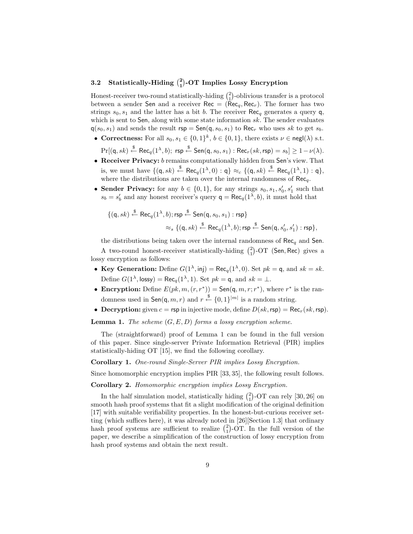# 3.2 Statistically-Hiding  $\binom{2}{1}$ -OT Implies Lossy Encryption

Honest-receiver two-round statistically-hiding  $\binom{2}{1}$ -oblivious transfer is a protocol between a sender Sen and a receiver  $\text{Rec} = (\text{Rec}_q, \text{Rec}_r)$ . The former has two strings  $s_0, s_1$  and the latter has a bit b. The receiver  $\text{Rec}_q$  generates a query q, which is sent to Sen, along with some state information  $sk$ . The sender evaluates  $q(s_0, s_1)$  and sends the result  $\mathsf{rsp} = \mathsf{Sen}(\mathsf{q}, s_0, s_1)$  to  $\mathsf{Rec}_r$  who uses sk to get  $s_b$ .

- Correctness: For all  $s_0, s_1 \in \{0, 1\}^k$ ,  $b \in \{0, 1\}$ , there exists  $\nu \in \text{negl}(\lambda)$  s.t.  $\Pr[(\mathsf{q},sk) \stackrel{\$}{\leftarrow} \mathsf{Rec}_q(1^\lambda,b); \; \mathsf{rsp} \stackrel{\$}{\leftarrow} \mathsf{Sen}(\mathsf{q},s_0,s_1) : \mathsf{Rec}_r(sk,\mathsf{rsp}) = s_b] \geq 1 - \nu(\lambda).$
- Receiver Privacy: b remains computationally hidden from Sen's view. That is, we must have  $\{(\mathsf{q}, sk) \stackrel{\$}{\leftarrow} \mathsf{Rec}_q(1^\lambda, 0) : \mathsf{q}\} \approx_c \{(\mathsf{q}, sk) \stackrel{\$}{\leftarrow} \mathsf{Rec}_q(1^\lambda, 1) : \mathsf{q}\},\$ where the distributions are taken over the internal randomness of  $\mathsf{Rec}_q$ .
- Sender Privacy: for any  $b \in \{0,1\}$ , for any strings  $s_0, s_1, s'_0, s'_1$  such that  $s_b = s'_b$  and any honest receiver's query  $q = \text{Rec}_q(1^{\lambda}, b)$ , it must hold that

$$
\begin{aligned}\n\{( \text{q}, sk) \stackrel{\$} \leftarrow \text{Rec}_{q}(1^{\lambda}, b); \text{rsp} \stackrel{\$} \leftarrow \text{Sen}(\text{q}, s_{0}, s_{1}) : \text{rsp} \} \\
&\approx_s \{ (\text{q}, sk) \stackrel{\$} \leftarrow \text{Rec}_{q}(1^{\lambda}, b); \text{rsp} \stackrel{\$} \leftarrow \text{Sen}(\text{q}, s'_{0}, s'_{1}) : \text{rsp} \},\n\end{aligned}
$$

the distributions being taken over the internal randomness of  $\text{Rec}_q$  and Sen.

A two-round honest-receiver statistically-hiding  $\binom{2}{1}$ -OT (Sen, Rec) gives a lossy encryption as follows:

- Key Generation: Define  $G(1^{\lambda}, \text{inj}) = \text{Rec}_{q}(1^{\lambda}, 0)$ . Set  $pk = q$ , and  $sk = sk$ . Define  $G(1^{\lambda}, \text{lossy}) = \text{Rec}_q(1^{\lambda}, 1)$ . Set  $pk = \textsf{q}$ , and  $sk = \bot$ .
- Encryption: Define  $E(pk, m, (r, r^*)) = \mathsf{Sen}(\mathsf{q}, m, r; r^*)$ , where  $r^*$  is the randomness used in  $\mathsf{Sen}(\mathsf{q},m,r)$  and  $r \stackrel{\$}{\leftarrow} \{0,1\}^{|m|}$  is a random string.
- Decryption: given  $c =$  rsp in injective mode, define  $D(sk,$ rsp) = Rec<sub>r</sub>(sk, rsp).

**Lemma 1.** The scheme  $(G, E, D)$  forms a lossy encryption scheme.

The (straightforward) proof of Lemma 1 can be found in the full version of this paper. Since single-server Private Information Retrieval (PIR) implies statistically-hiding OT [15], we find the following corollary.

Corollary 1. One-round Single-Server PIR implies Lossy Encryption.

Since homomorphic encryption implies PIR [33, 35], the following result follows.

Corollary 2. Homomorphic encryption implies Lossy Encryption.

In the half simulation model, statistically hiding  $\binom{2}{1}$ -OT can rely [30, 26] on smooth hash proof systems that fit a slight modification of the original definition [17] with suitable verifiability properties. In the honest-but-curious receiver setting (which suffices here), it was already noted in [26][Section 1.3] that ordinary hash proof systems are sufficient to realize  $\binom{2}{1}$ -OT. In the full version of the paper, we describe a simplification of the construction of lossy encryption from hash proof systems and obtain the next result.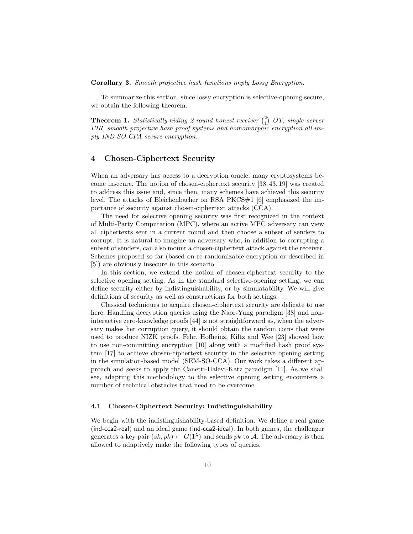Corollary 3. Smooth projective hash functions imply Lossy Encryption.

To summarize this section, since lossy encryption is selective-opening secure, we obtain the following theorem.

**Theorem 1.** Statistically-hiding 2-round honest-receiver  $\binom{2}{1}$ -OT, single server PIR, smooth projective hash proof systems and homomorphic encryption all imply IND-SO-CPA secure encryption.

## 4 Chosen-Ciphertext Security

When an adversary has access to a decryption oracle, many cryptosystems become insecure. The notion of chosen-ciphertext security [38, 43, 19] was created to address this issue and, since then, many schemes have achieved this security level. The attacks of Bleichenbacher on RSA PKCS#1 [6] emphasized the importance of security against chosen-ciphertext attacks (CCA).

The need for selective opening security was first recognized in the context of Multi-Party Computation (MPC), where an active MPC adversary can view all ciphertexts sent in a current round and then choose a subset of senders to corrupt. It is natural to imagine an adversary who, in addition to corrupting a subset of senders, can also mount a chosen-ciphertext attack against the receiver. Schemes proposed so far (based on re-randomizable encryption or described in [5]) are obviously insecure in this scenario.

In this section, we extend the notion of chosen-ciphertext security to the selective opening setting. As in the standard selective-opening setting, we can define security either by indistinguishability, or by simulatability. We will give definitions of security as well as constructions for both settings.

Classical techniques to acquire chosen-ciphertext security are delicate to use here. Handling decryption queries using the Naor-Yung paradigm [38] and noninteractive zero-knowledge proofs [44] is not straightforward as, when the adversary makes her corruption query, it should obtain the random coins that were used to produce NIZK proofs. Fehr, Hofheinz, Kiltz and Wee [23] showed how to use non-committing encryption [10] along with a modified hash proof system [17] to achieve chosen-ciphertext security in the selective opening setting in the simulation-based model (SEM-SO-CCA). Our work takes a different approach and seeks to apply the Canetti-Halevi-Katz paradigm [11]. As we shall see, adapting this methodology to the selective opening setting encounters a number of technical obstacles that need to be overcome.

#### 4.1 Chosen-Ciphertext Security: Indistinguishability

We begin with the indistinguishability-based definition. We define a real game (ind-cca2-real) and an ideal game (ind-cca2-ideal). In both games, the challenger generates a key pair  $(sk, pk) \leftarrow G(1^{\lambda})$  and sends pk to A. The adversary is then allowed to adaptively make the following types of queries.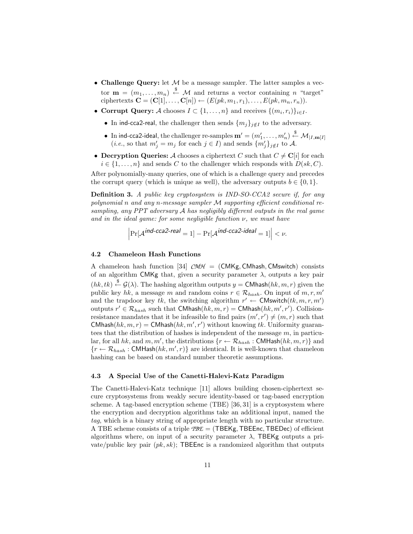- $\bullet$  Challenge Query: let  $\mathcal M$  be a message sampler. The latter samples a vector  $\mathbf{m} = (m_1, \ldots, m_n) \stackrel{\$}{\leftarrow} \mathcal{M}$  and returns a vector containing n "target" ciphertexts  $\mathbf{C} = (\mathbf{C}[1], \dots, \mathbf{C}[n]) \leftarrow (E(pk, m_1, r_1), \dots, E(pk, m_n, r_n)).$
- Corrupt Query: A chooses  $I \subset \{1, \ldots, n\}$  and receives  $\{(m_i, r_i)\}_{i \in I}$ .
	- In ind-cca2-real, the challenger then sends  $\{m_j\}_{j \notin I}$  to the adversary.
	- In ind-cca2-ideal, the challenger re-samples  $\mathbf{m}' = (m'_1, \ldots, m'_n) \stackrel{\$}{\leftarrow} \mathcal{M}_{|I, \mathbf{m}[I]}$ (*i.e.*, so that  $m'_j = m_j$  for each  $j \in I$ ) and sends  $\{m'_j\}_{j \notin I}$  to A.
- Decryption Queries: A chooses a ciphertext C such that  $C \neq \mathbb{C}[i]$  for each  $i \in \{1, \ldots, n\}$  and sends C to the challenger which responds with  $D(sk, C)$ .

After polynomially-many queries, one of which is a challenge query and precedes the corrupt query (which is unique as well), the adversary outputs  $b \in \{0, 1\}$ .

**Definition 3.** A public key cryptosystem is IND-SO-CCA2 secure if, for any polynomial n and any n-message sampler  $\mathcal M$  supporting efficient conditional resampling, any PPT adversary A has negligibly different outputs in the real game and in the ideal game: for some negligible function  $\nu$ , we must have

$$
\left|\Pr[\mathcal{A}^{\text{ind-cca2-real}}=1]-\Pr[\mathcal{A}^{\text{ind-cca2-ideal}}=1]\right|<\nu.
$$

#### 4.2 Chameleon Hash Functions

A chameleon hash function [34]  $CMH = (CMKg, CMhash, CMswitch)$  consists of an algorithm CMKg that, given a security parameter  $\lambda$ , outputs a key pair  $(hk, tk) \stackrel{\$}{\leftarrow} \mathcal{G}(\lambda)$ . The hashing algorithm outputs  $y = \textsf{CMhash}(hk, m, r)$  given the public key hk, a message m and random coins  $r \in \mathcal{R}_{hash}$ . On input of  $m, r, m'$ and the trapdoor key tk, the switching algorithm  $r' \leftarrow \text{CMswich}(tk, m, r, m')$ outputs  $r' \in \mathcal{R}_{hash}$  such that  $\mathsf{CMhash}(hk, m, r) = \mathsf{CMhash}(hk, m', r')$ . Collisionresistance mandates that it be infeasible to find pairs  $(m', r') \neq (m, r)$  such that CMhash $(hk, m, r)$  = CMhash $(hk, m', r')$  without knowing tk. Uniformity guarantees that the distribution of hashes is independent of the message  $m$ , in particular, for all  $hk$ , and  $m, m'$ , the distributions  $\{r \leftarrow \mathcal{R}_{hash} : \mathsf{CMHash}(hk, m, r)\}$  and  ${r \leftarrow \mathcal{R}_{hash} : \mathsf{CMHash}(hk, m', r)}$  are identical. It is well-known that chameleon hashing can be based on standard number theoretic assumptions.

#### 4.3 A Special Use of the Canetti-Halevi-Katz Paradigm

The Canetti-Halevi-Katz technique [11] allows building chosen-ciphertext secure cryptosystems from weakly secure identity-based or tag-based encryption scheme. A tag-based encryption scheme (TBE) [36, 31] is a cryptosystem where the encryption and decryption algorithms take an additional input, named the tag, which is a binary string of appropriate length with no particular structure. A TBE scheme consists of a triple  $TBE = (TBEKg, TBEEnc, TBEDec)$  of efficient algorithms where, on input of a security parameter  $\lambda$ , TBEKg outputs a private/public key pair  $(pk, sk)$ ; TBEEnc is a randomized algorithm that outputs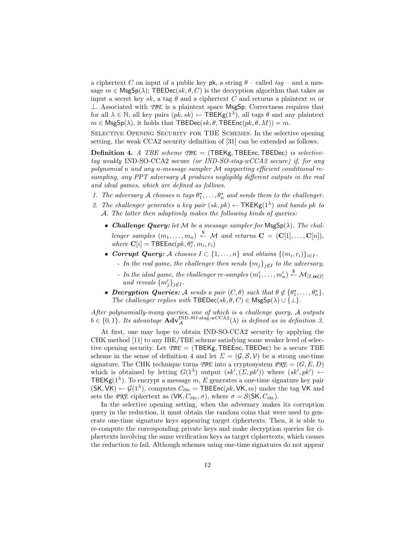a ciphertext C on input of a public key pk, a string  $\theta$  – called tag – and a message  $m \in \text{MsgSp}(\lambda)$ ; TBEDec(sk,  $\theta$ , C) is the decryption algorithm that takes as input a secret key sk, a tag  $\theta$  and a ciphertext C and returns a plaintext m or ⊥. Associated with *TBE* is a plaintext space MsgSp. Correctness requires that for all  $\lambda \in \mathbb{N}$ , all key pairs  $(pk, sk) \leftarrow \text{TEEKg}(1^{\lambda})$ , all tags  $\theta$  and any plaintext  $m \in \mathsf{MsgSp}(\lambda)$ , it holds that  $\mathsf{TEEDec}(sk, \theta, \mathsf{TEEEnc}(pk, \theta, M)) = m$ .

Selective Opening Security for TBE Schemes. In the selective opening setting, the weak CCA2 security definition of [31] can be extended as follows.

Definition 4. A TBE scheme TBE = (TBEKg, TBEEnc, TBEDec) is selectivetag weakly IND-SO-CCA2 secure (or IND-SO-stag-wCCA2 secure) if, for any polynomial n and any n-message sampler  $\mathcal M$  supporting efficient conditional resampling, any PPT adversary A produces negligibly different outputs in the real and ideal games, which are defined as follows.

- 1. The adversary A chooses n tags  $\theta_1^*, \ldots, \theta_n^*$  and sends them to the challenger.
- 2. The challenger generates a key pair  $(sk, pk) \leftarrow \text{TKEKg}(1^{\lambda})$  and hands pk to A. The latter then adaptively makes the following kinds of queries:
	- Challenge Query: let M be a message sampler for  $\textsf{MsgSp}(\lambda)$ . The challenger samples  $(m_1, \ldots, m_n) \stackrel{\$}{\leftarrow} M$  and returns  $\mathbf{C} = (\mathbf{C}[1], \ldots, \mathbf{C}[n]),$ where  $\mathbf{C}[i] = \mathsf{TBEEnc}(pk, \theta_i^{\star}, m_i, r_i)$
	- Corrupt Query: A chooses  $I \subset \{1, \ldots, n\}$  and obtains  $\{(m_i, r_i)\}_{i \in I}$ .
		- In the real game, the challenger then sends  $\{m_j\}_{j \notin I}$  to the adversary.
		- In the ideal game, the challenger re-samples  $(m'_1, \ldots, m'_n) \stackrel{\$}{\leftarrow} \mathcal{M}_{|I,m[I]}$ and reveals  $\{m'_j\}_{j \notin I}$ .
	- Decryption Queries: A sends a pair  $(C, \theta)$  such that  $\theta \notin {\theta_1^*, \dots, \theta_n^*}$ . The challenger replies with TBEDec(sk,  $\theta$ , C)  $\in$  MsgSp( $\lambda$ )  $\cup$  { $\bot$ }.

After polynomially-many queries, one of which is a challenge query, A outputs  $b \in \{0,1\}$ . Its advantage  $\text{Adv}_{\mathcal{A}}^{\text{IND-SO-stag-wCCA2}}(\lambda)$  is defined as in definition 3.

At first, one may hope to obtain IND-SO-CCA2 security by applying the CHK method [11] to any IBE/TBE scheme satisfying some weaker level of selective opening security. Let  $TBE = (TBEKg, TBEEnc, TBEDec)$  be a secure TBE scheme in the sense of definition 4 and let  $\Sigma = (\mathcal{G}, \mathcal{S}, \mathcal{V})$  be a strong one-time signature. The CHK technique turns *TBE* into a cryptosystem  $P X E = (G, E, D)$ which is obtained by letting  $G(1^{\lambda})$  output  $(sk',(\Sigma, pk'))$  where  $(sk', pk') \leftarrow$ TBEKg( $1^{\lambda}$ ). To encrypt a message m, E generates a one-time signature key pair  $(\mathsf{SK}, \mathsf{VK}) \leftarrow \mathcal{G}(1^{\lambda}),$  computes  $C_{the} = \mathsf{TBEEnc}(pk, \mathsf{VK}, m)$  under the tag VK and sets the *PKE* ciphertext as  $(VK, C_{the}, \sigma)$ , where  $\sigma = \mathcal{S}(SK, C_{the})$ .

In the selective opening setting, when the adversary makes its corruption query in the reduction, it must obtain the random coins that were used to generate one-time signature keys appearing target ciphertexts. Then, it is able to re-compute the corresponding private keys and make decryption queries for ciphertexts involving the same verification keys as target ciphertexts, which causes the reduction to fail. Although schemes using one-time signatures do not appear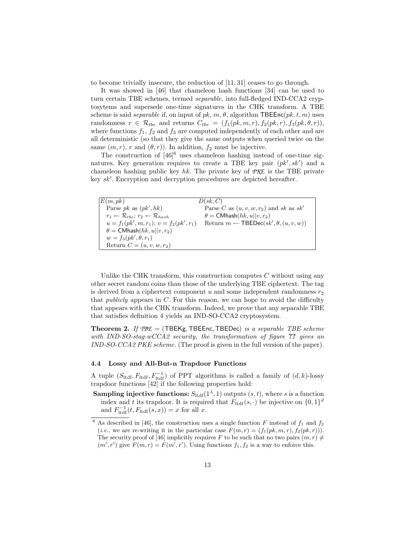to become trivially insecure, the reduction of [11, 31] ceases to go through.

It was showed in [46] that chameleon hash functions [34] can be used to turn certain TBE schemes, termed separable, into full-fledged IND-CCA2 cryptosytems and supersede one-time signatures in the CHK transform. A TBE scheme is said *separable* if, on input of  $pk, m, \theta$ , algorithm TBEEnc( $pk, t, m$ ) uses randomness  $r \in \mathcal{R}_{the}$  and returns  $C_{the} = (f_1(pk, m, r), f_2(pk, r), f_3(pk, \theta, r)),$ where functions  $f_1$ ,  $f_2$  and  $f_3$  are computed independently of each other and are all deterministic (so that they give the same outputs when queried twice on the same  $(m, r)$ , r and  $(\theta, r)$ ). In addition,  $f_2$  must be injective.

The construction of  $[46]$ <sup>6</sup> uses chameleon hashing instead of one-time signatures. Key generation requires to create a TBE key pair  $(pk', sk')$  and a chameleon hashing public key hk. The private key of *PKE* is the TBE private key  $sk'$ . Encryption and decryption procedures are depicted hereafter.

| E(m, pk)                                                              | $D(\mathfrak{sk},\mathbb{C})$                               |
|-----------------------------------------------------------------------|-------------------------------------------------------------|
| Parse pk as $(pk', hk)$                                               | Parse C as $(u, v, w, r_2)$ and sk as sk'                   |
| $r_1 \leftarrow \mathcal{R}_{the}; r_2 \leftarrow \mathcal{R}_{hash}$ | $\theta =$ CMhash $(hk, u  v, r_2)$                         |
| $u = f_1(pk', m, r_1); v = f_2(pk', r_1)$                             | Return $m \leftarrow \text{TEEDec}(sk', \theta, (u, v, w))$ |
| $\theta =$ CMhash $(hk, u  v, r_2)$                                   |                                                             |
| $w = f_3(pk', \theta, r_1)$                                           |                                                             |
| Return $C=(u, v, w, r_2)$                                             |                                                             |

Unlike the CHK transform, this construction computes  $C$  without using any other secret random coins than those of the underlying TBE ciphertext. The tag is derived from a ciphertext component u and some independent randomness  $r<sub>2</sub>$ that *publicly* appears in  $C$ . For this reason, we can hope to avoid the difficulty that appears with the CHK transform. Indeed, we prove that any separable TBE that satisfies definition 4 yields an IND-SO-CCA2 cryptosystem.

**Theorem 2.** If  $\mathcal{TBE} = (\mathsf{TBEKg}, \mathsf{TBEEnc}, \mathsf{TBEDec})$  is a separable TBE scheme with IND-SO-stag-wCCA2 security, the transformation of figure ?? gives an IND-SO-CCA2 PKE scheme. (The proof is given in the full version of the paper).

## 4.4 Lossy and All-But-n Trapdoor Functions

A tuple  $(S_{\text{tdf}}, F_{\text{tdf}}, F_{\text{tdf}}^{-1})$  of PPT algorithms is called a family of  $(d, k)$ -lossy trapdoor functions [42] if the following properties hold:

**Sampling injective functions:**  $S_{\text{ltdf}}(1^{\lambda}, 1)$  outputs  $(s, t)$ , where s is a function index and t its trapdoor. It is required that  $F_{\text{ltdf}}(s, \cdot)$  be injective on  $\{0, 1\}^d$ and  $F_{\text{ltdf}}^{-1}(t, F_{\text{ltdf}}(s, x)) = x$  for all x.

<sup>&</sup>lt;sup>6</sup> As described in [46], the construction uses a single function F instead of  $f_1$  and  $f_2$ (*i.e.*, we are re-writing it in the particular case  $F(m, r) = (f_1(pk, m, r), f_2(pk, r))$ ). The security proof of [46] implicitly requires F to be such that no two pairs  $(m, r) \neq$  $(m', r')$  give  $F(m, r) = F(m', r')$ . Using functions  $f_1, f_2$  is a way to enforce this.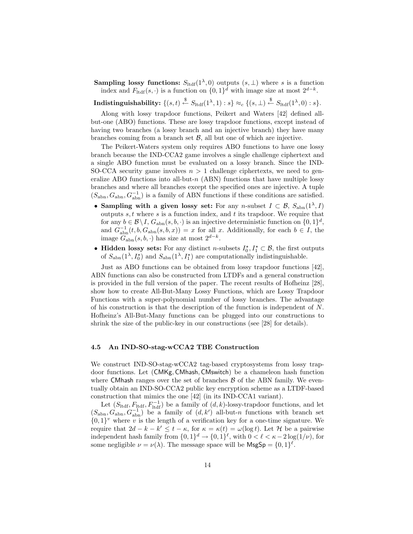**Sampling lossy functions:**  $S_{\text{tdf}}(1^{\lambda},0)$  outputs  $(s, \perp)$  where s is a function index and  $F_{\text{ltdf}}(s, \cdot)$  is a function on  $\{0, 1\}^d$  with image size at most  $2^{d-k}$ .

 $\textbf{Indistinguishability:} \; \{(s,t) \stackrel{\$}{\leftarrow} S_{\text{ltdf}}(1^{\lambda}, 1) : s\} \approx_c \{(s,\bot) \stackrel{\$}{\leftarrow} S_{\text{ltdf}}(1^{\lambda}, 0) : s\}.$ 

Along with lossy trapdoor functions, Peikert and Waters [42] defined allbut-one (ABO) functions. These are lossy trapdoor functions, except instead of having two branches (a lossy branch and an injective branch) they have many branches coming from a branch set  $\mathcal{B}$ , all but one of which are injective.

The Peikert-Waters system only requires ABO functions to have one lossy branch because the IND-CCA2 game involves a single challenge ciphertext and a single ABO function must be evaluated on a lossy branch. Since the IND-SO-CCA security game involves  $n > 1$  challenge ciphertexts, we need to generalize ABO functions into all-but- $n$  (ABN) functions that have multiple lossy branches and where all branches except the specified ones are injective. A tuple  $(S<sub>abn</sub>, G<sub>abn</sub>, G<sub>abn</sub><sup>-1</sup>)$  is a family of ABN functions if these conditions are satisfied.

- Sampling with a given lossy set: For any n-subset  $I \subset \mathcal{B}$ ,  $S_{abn}(1^{\lambda}, I)$ outputs  $s, t$  where  $s$  is a function index, and  $t$  its trapdoor. We require that for any  $b \in \mathcal{B} \setminus I$ ,  $G_{abn}(s, b, \cdot)$  is an injective deterministic function on  $\{0, 1\}^d$ , and  $G_{abn}^{-1}(t, b, G_{abn}(s, b, x)) = x$  for all x. Additionally, for each  $b \in I$ , the image  $\widetilde{G}_{abn}(s, b, \cdot)$  has size at most  $2^{d-k}$ .
- Hidden lossy sets: For any distinct *n*-subsets  $I_0^*, I_1^* \subset \mathcal{B}$ , the first outputs of  $S_{abn}(1^{\lambda}, I_0^{\star})$  and  $S_{abn}(1^{\lambda}, I_1^{\star})$  are computationally indistinguishable.

Just as ABO functions can be obtained from lossy trapdoor functions [42], ABN functions can also be constructed from LTDFs and a general construction is provided in the full version of the paper. The recent results of Hofheinz [28], show how to create All-But-Many Lossy Functions, which are Lossy Trapdoor Functions with a super-polynomial number of lossy branches. The advantage of his construction is that the description of the function is independent of N. Hofheinz's All-But-Many functions can be plugged into our constructions to shrink the size of the public-key in our constructions (see [28] for details).

### 4.5 An IND-SO-stag-wCCA2 TBE Construction

We construct IND-SO-stag-wCCA2 tag-based cryptosystems from lossy trapdoor functions. Let (CMKg, CMhash, CMswitch) be a chameleon hash function where CMhash ranges over the set of branches  $\beta$  of the ABN family. We eventually obtain an IND-SO-CCA2 public key encryption scheme as a LTDF-based construction that mimics the one [42] (in its IND-CCA1 variant).

Let  $(S_{\text{ltdf}}, F_{\text{ltdf}}^{-1}, F_{\text{ltdf}}^{-1})$  be a family of  $(d, k)$ -lossy-trapdoor functions, and let  $(S<sub>abn</sub>, G<sub>abn</sub>, G<sub>abn</sub><sup>-1</sup>)$  be a family of  $(d, k')$  all-but-n functions with branch set  $\{0,1\}$ <sup>v</sup> where v is the length of a verification key for a one-time signature. We require that  $2d - k - k' \leq t - \kappa$ , for  $\kappa = \kappa(t) = \omega(\log t)$ . Let H be a pairwise independent hash family from  $\{0,1\}^d \to \{0,1\}^{\ell}$ , with  $0 < \ell < \kappa - 2\log(1/\nu)$ , for some negligible  $\nu = \nu(\lambda)$ . The message space will be  $\mathsf{MsgSp} = \{0,1\}^{\ell}$ .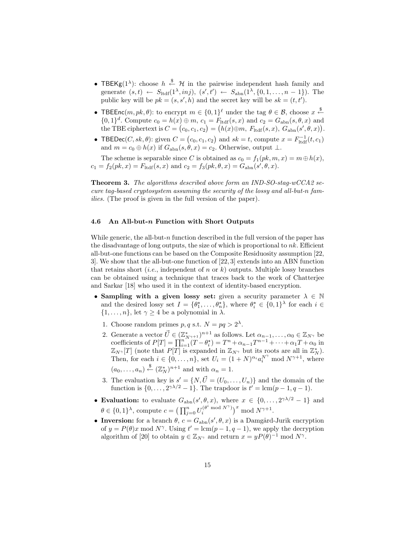- TBEKg(1<sup> $\lambda$ </sup>): choose  $h \stackrel{\$}{\leftarrow} \mathcal{H}$  in the pairwise independent hash family and generate  $(s,t) \leftarrow S_{\text{ltdf}}(1^{\lambda}, inj), (s', t') \leftarrow S_{\text{abn}}(1^{\lambda}, \{0, 1, \ldots, n-1\}).$  The public key will be  $pk = (s, s', h)$  and the secret key will be  $sk = (t, t')$ .
- TBEEnc $(m, pk, \theta)$ : to encrypt  $m \in \{0, 1\}^{\ell}$  under the tag  $\theta \in \mathcal{B}$ , choose  $x \stackrel{\$}{\leftarrow}$  ${0,1}^d$ . Compute  $c_0 = h(x) \oplus m$ ,  $c_1 = F_{\text{ltdf}}(s, x)$  and  $c_2 = G_{\text{abn}}(s, \theta, x)$  and the TBE ciphertext is  $C = (c_0, c_1, c_2) = (h(x) \oplus m, F_{\text{ltdf}}(s, x), G_{\text{abn}}(s', \theta, x)).$
- TBEDec(*C*,  $sk$ ,  $\theta$ ): given  $C = (c_0, c_1, c_2)$  and  $sk = t$ , compute  $x = F_{\text{tdf}}^{-1}(t, c_1)$ and  $m = c_0 \oplus h(x)$  if  $G_{abn}(s, \theta, x) = c_2$ . Otherwise, output ⊥.

The scheme is separable since C is obtained as  $c_0 = f_1(pk, m, x) = m \oplus h(x)$ ,  $c_1 = f_2(pk, x) = F_{\text{ltdf}}(s, x)$  and  $c_2 = f_3(pk, \theta, x) = G_{\text{abn}}(s', \theta, x)$ .

Theorem 3. The algorithms described above form an IND-SO-stag-wCCA2 secure tag-based cryptosystem assuming the security of the lossy and all-but-n families. (The proof is given in the full version of the paper).

## 4.6 An All-but-n Function with Short Outputs

While generic, the all-but- $n$  function described in the full version of the paper has the disadvantage of long outputs, the size of which is proportional to  $nk$ . Efficient all-but-one functions can be based on the Composite Residuosity assumption [22, 3]. We show that the all-but-one function of [22, 3] extends into an ABN function that retains short *(i.e., independent of n or k)* outputs. Multiple lossy branches can be obtained using a technique that traces back to the work of Chatterjee and Sarkar [18] who used it in the context of identity-based encryption.

- Sampling with a given lossy set: given a security parameter  $\lambda \in \mathbb{N}$ and the desired lossy set  $I = \{\theta_1^*, \ldots, \theta_n^*\}$ , where  $\theta_i^* \in \{0,1\}^{\lambda}$  for each  $i \in$  $\{1,\ldots,n\}$ , let  $\gamma \geq 4$  be a polynomial in  $\lambda$ .
	- 1. Choose random primes  $p, q$  s.t.  $N = pq > 2^{\lambda}$ .
	- 2. Generate a vector  $\vec{U} \in (\mathbb{Z}_{N^{\gamma+1}}^*)^{n+1}$  as follows. Let  $\alpha_{n-1}, \ldots, \alpha_0 \in \mathbb{Z}_{N^{\gamma}}$  be coefficients of  $P[T] = \prod_{i=1}^{n} (T - \theta_i^*) = T^n + \alpha_{n-1} T^{n-1} + \cdots + \alpha_1 T + \alpha_0$  in  $\mathbb{Z}_{N}$ <sup>[T]</sup> (note that  $P[T]$  is expanded in  $\mathbb{Z}_{N}$  but its roots are all in  $\mathbb{Z}_{N}^{*}$ ). Then, for each  $i \in \{0, \ldots, n\}$ , set  $U_i = (1 + N)^{\alpha_i} a_i^{N^{\gamma}}$  mod  $N^{\gamma+1}$ , where  $(a_0, \ldots, a_n) \stackrel{\$}{\leftarrow} (\mathbb{Z}_N^*)^{n+1}$  and with  $\alpha_n = 1$ .
	- 3. The evaluation key is  $s' = \{N, \vec{U} = (U_0, \ldots, U_n)\}\$  and the domain of the function is  $\{0,\ldots,2^{\gamma\lambda/2}-1\}$ . The trapdoor is  $t'=\text{lcm}(p-1,q-1)$ .
- Evaluation: to evaluate  $G_{abn}(s', \theta, x)$ , where  $x \in \{0, ..., 2^{\gamma \lambda/2} 1\}$  and  $\theta \in \{0,1\}^{\lambda}$ , compute  $c = \left(\prod_{j=0}^{n} U_i^{(\theta^i \bmod N^{\gamma})}\right)^x \mod N^{\gamma+1}$ .
- Inversion: for a branch  $\theta$ ,  $c = G_{abn}(s', \theta, x)$  is a Damgård-Jurik encryption of  $y = P(\theta)x \mod N^{\gamma}$ . Using  $t' = \text{lcm}(p-1, q-1)$ , we apply the decryption algorithm of [20] to obtain  $y \in \mathbb{Z}_{N}$  and return  $x = yP(\theta)^{-1} \mod N^{\gamma}$ .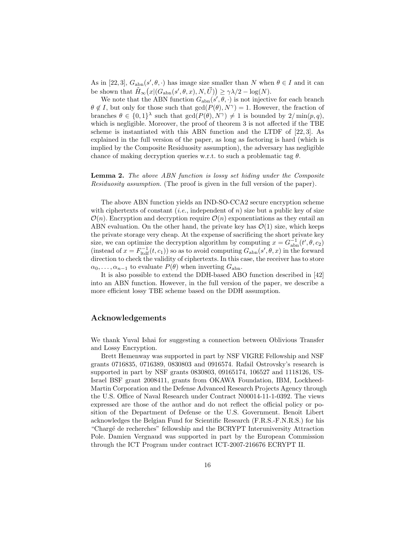As in [22, 3],  $G_{abn}(s', \theta, \cdot)$  has image size smaller than N when  $\theta \in I$  and it can be shown that  $\widetilde{H}_{\infty}(x|(G_{\mathrm{abn}}(s', \theta, x), N, \vec{U})) \geq \gamma \lambda/2 - \log(N)$ .

We note that the ABN function  $G_{abn}(s', \theta, \cdot)$  is not injective for each branch  $\theta \notin I$ , but only for those such that  $gcd(P(\theta), N^{\gamma}) = 1$ . However, the fraction of branches  $\theta \in \{0,1\}^{\lambda}$  such that  $gcd(P(\theta), N^{\gamma}) \neq 1$  is bounded by  $2/\min(p, q)$ , which is negligible. Moreover, the proof of theorem 3 is not affected if the TBE scheme is instantiated with this ABN function and the LTDF of [22, 3]. As explained in the full version of the paper, as long as factoring is hard (which is implied by the Composite Residuosity assumption), the adversary has negligible chance of making decryption queries w.r.t. to such a problematic tag  $\theta$ .

Lemma 2. The above ABN function is lossy set hiding under the Composite Residuosity assumption. (The proof is given in the full version of the paper).

The above ABN function yields an IND-SO-CCA2 secure encryption scheme with ciphertexts of constant (*i.e.*, independent of  $n$ ) size but a public key of size  $\mathcal{O}(n)$ . Encryption and decryption require  $\mathcal{O}(n)$  exponentiations as they entail an ABN evaluation. On the other hand, the private key has  $\mathcal{O}(1)$  size, which keeps the private storage very cheap. At the expense of sacrificing the short private key size, we can optimize the decryption algorithm by computing  $x = G_{abn}^{-1}(t', \theta, c_2)$ (instead of  $x = F_{\text{ltdf}}^{-1}(t, c_1)$ ) so as to avoid computing  $G_{\text{abn}}(s', \theta, x)$  in the forward direction to check the validity of ciphertexts. In this case, the receiver has to store  $\alpha_0, \ldots, \alpha_{n-1}$  to evaluate  $P(\theta)$  when inverting  $G_{abn}$ .

It is also possible to extend the DDH-based ABO function described in [42] into an ABN function. However, in the full version of the paper, we describe a more efficient lossy TBE scheme based on the DDH assumption.

# Acknowledgements

We thank Yuval Ishai for suggesting a connection between Oblivious Transfer and Lossy Encryption.

Brett Hemenway was supported in part by NSF VIGRE Fellowship and NSF grants 0716835, 0716389, 0830803 and 0916574. Rafail Ostrovsky's research is supported in part by NSF grants 0830803, 09165174, 106527 and 1118126, US-Israel BSF grant 2008411, grants from OKAWA Foundation, IBM, Lockheed-Martin Corporation and the Defense Advanced Research Projects Agency through the U.S. Office of Naval Research under Contract N00014-11-1-0392. The views expressed are those of the author and do not reflect the official policy or position of the Department of Defense or the U.S. Government. Benoît Libert acknowledges the Belgian Fund for Scientific Research (F.R.S.-F.N.R.S.) for his "Charg´e de recherches" fellowship and the BCRYPT Interuniversity Attraction Pole. Damien Vergnaud was supported in part by the European Commission through the ICT Program under contract ICT-2007-216676 ECRYPT II.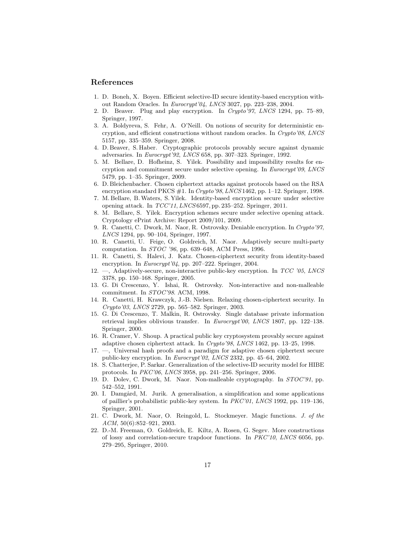## References

- 1. D. Boneh, X. Boyen. Efficient selective-ID secure identity-based encryption without Random Oracles. In Eurocrypt'04, LNCS 3027, pp. 223–238, 2004.
- 2. D. Beaver. Plug and play encryption. In Crypto'97, LNCS 1294, pp. 75–89, Springer, 1997.
- 3. A. Boldyreva, S. Fehr, A. O'Neill. On notions of security for deterministic encryption, and efficient constructions without random oracles. In Crypto'08, LNCS 5157, pp. 335–359. Springer, 2008.
- 4. D. Beaver, S. Haber. Cryptographic protocols provably secure against dynamic adversaries. In Eurocrypt'92, LNCS 658, pp. 307–323. Springer, 1992.
- 5. M. Bellare, D. Hofheinz, S. Yilek. Possibility and impossibility results for encryption and commitment secure under selective opening. In Eurocrypt'09, LNCS 5479, pp. 1–35. Springer, 2009.
- 6. D. Bleichenbacher. Chosen ciphertext attacks against protocols based on the RSA encryption standard PKCS  $\#1$ . In Crypto'98, LNCS 1462, pp. 1–12. Springer, 1998.
- 7. M. Bellare, B.Waters, S. Yilek. Identity-based encryption secure under selective opening attack. In TCC'11, LNCS 6597, pp. 235–252. Springer, 2011.
- 8. M. Bellare, S. Yilek. Encryption schemes secure under selective opening attack. Cryptology ePrint Archive: Report 2009/101, 2009.
- 9. R. Canetti, C. Dwork, M. Naor, R. Ostrovsky. Deniable encryption. In Crypto'97, LNCS 1294, pp. 90–104, Springer, 1997.
- 10. R. Canetti, U. Feige, O. Goldreich, M. Naor. Adaptively secure multi-party computation. In STOC '96, pp. 639–648, ACM Press, 1996.
- 11. R. Canetti, S. Halevi, J. Katz. Chosen-ciphertext security from identity-based encryption. In  $Europeani04$ , pp. 207–222. Springer, 2004.
- 12. —, Adaptively-secure, non-interactive public-key encryption. In  $TCC$  '05, LNCS 3378, pp. 150–168. Springer, 2005.
- 13. G. Di Crescenzo, Y. Ishai, R. Ostrovsky. Non-interactive and non-malleable commitment. In STOC'98. ACM, 1998.
- 14. R. Canetti, H. Krawczyk, J.-B. Nielsen. Relaxing chosen-ciphertext security. In Crypto'03, LNCS 2729, pp. 565–582. Springer, 2003.
- 15. G. Di Crescenzo, T. Malkin, R. Ostrovsky. Single database private information retrieval implies oblivious transfer. In Eurocrypt'00, LNCS 1807, pp. 122–138. Springer, 2000.
- 16. R. Cramer, V. Shoup. A practical public key cryptosystem provably secure against adaptive chosen ciphertext attack. In Crypto'98, LNCS 1462, pp. 13–25, 1998.
- 17. —, Universal hash proofs and a paradigm for adaptive chosen ciphertext secure public-key encryption. In Eurocrypt'02, LNCS 2332, pp. 45–64, 2002.
- 18. S. Chatterjee, P. Sarkar. Generalization of the selective-ID security model for HIBE protocols. In PKC'06, LNCS 3958, pp. 241–256. Springer, 2006.
- 19. D. Dolev, C. Dwork, M. Naor. Non-malleable cryptography. In STOC'91, pp. 542–552, 1991.
- 20. I. Damgård, M. Jurik. A generalisation, a simplification and some applications of paillier's probabilistic public-key system. In PKC'01, LNCS 1992, pp. 119–136, Springer, 2001.
- 21. C. Dwork, M. Naor, O. Reingold, L. Stockmeyer. Magic functions. J. of the ACM, 50(6):852–921, 2003.
- 22. D.-M. Freeman, O. Goldreich, E. Kiltz, A. Rosen, G. Segev. More constructions of lossy and correlation-secure trapdoor functions. In PKC'10, LNCS 6056, pp. 279–295, Springer, 2010.